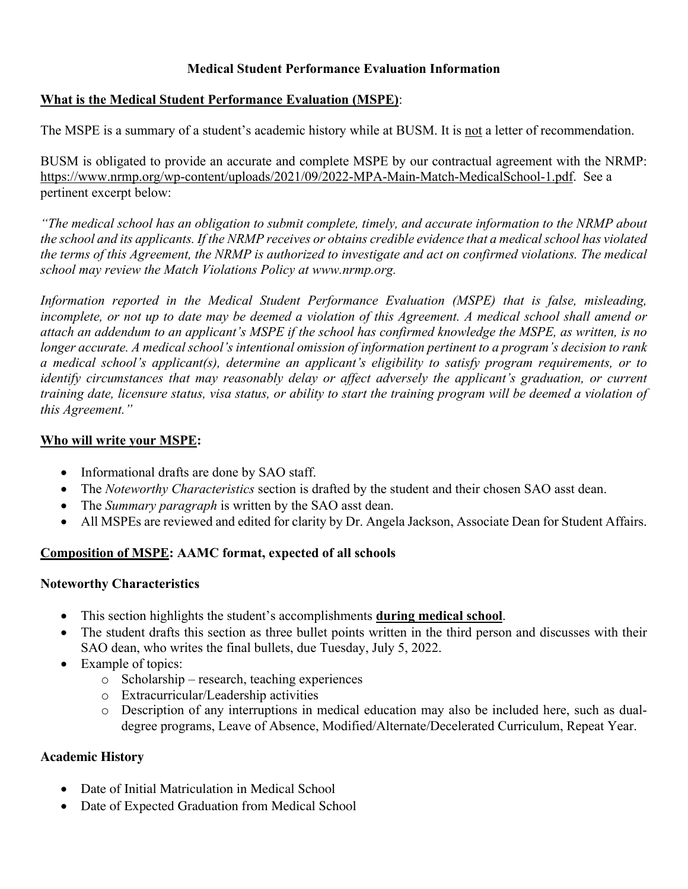## **Medical Student Performance Evaluation Information**

## **What is the Medical Student Performance Evaluation (MSPE)**:

The MSPE is a summary of a student's academic history while at BUSM. It is not a letter of recommendation.

BUSM is obligated to provide an accurate and complete MSPE by our contractual agreement with the NRMP: https://www.nrmp.org/wp-content/uploads/2021/09/2022-MPA-Main-Match-MedicalSchool-1.pdf. See a pertinent excerpt below:

*"The medical school has an obligation to submit complete, timely, and accurate information to the NRMP about the school and its applicants. If the NRMP receives or obtains credible evidence that a medical school has violated the terms of this Agreement, the NRMP is authorized to investigate and act on confirmed violations. The medical school may review the Match Violations Policy at www.nrmp.org.*

*Information reported in the Medical Student Performance Evaluation (MSPE) that is false, misleading, incomplete, or not up to date may be deemed a violation of this Agreement. A medical school shall amend or attach an addendum to an applicant's MSPE if the school has confirmed knowledge the MSPE, as written, is no longer accurate. A medical school's intentional omission of information pertinent to a program's decision to rank a medical school's applicant(s), determine an applicant's eligibility to satisfy program requirements, or to identify circumstances that may reasonably delay or affect adversely the applicant's graduation, or current training date, licensure status, visa status, or ability to start the training program will be deemed a violation of this Agreement."*

## **Who will write your MSPE:**

- Informational drafts are done by SAO staff.
- The *Noteworthy Characteristics* section is drafted by the student and their chosen SAO asst dean.
- The *Summary paragraph* is written by the SAO asst dean.
- All MSPEs are reviewed and edited for clarity by Dr. Angela Jackson, Associate Dean for Student Affairs.

# **Composition of MSPE: AAMC format, expected of all schools**

## **Noteworthy Characteristics**

- This section highlights the student's accomplishments **during medical school**.
- The student drafts this section as three bullet points written in the third person and discusses with their SAO dean, who writes the final bullets, due Tuesday, July 5, 2022.
- Example of topics:
	- o Scholarship research, teaching experiences
	- o Extracurricular/Leadership activities
	- o Description of any interruptions in medical education may also be included here, such as dualdegree programs, Leave of Absence, Modified/Alternate/Decelerated Curriculum, Repeat Year.

## **Academic History**

- Date of Initial Matriculation in Medical School
- Date of Expected Graduation from Medical School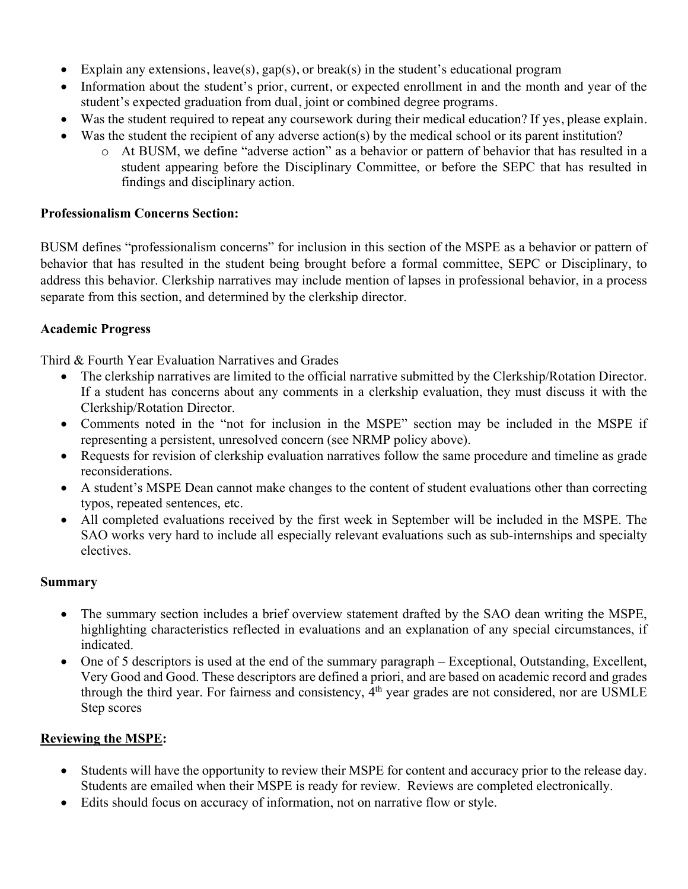- Explain any extensions, leave(s),  $gap(s)$ , or break(s) in the student's educational program
- Information about the student's prior, current, or expected enrollment in and the month and year of the student's expected graduation from dual, joint or combined degree programs.
- Was the student required to repeat any coursework during their medical education? If yes, please explain.
- Was the student the recipient of any adverse action(s) by the medical school or its parent institution?
	- o At BUSM, we define "adverse action" as a behavior or pattern of behavior that has resulted in a student appearing before the Disciplinary Committee, or before the SEPC that has resulted in findings and disciplinary action.

### **Professionalism Concerns Section:**

BUSM defines "professionalism concerns" for inclusion in this section of the MSPE as a behavior or pattern of behavior that has resulted in the student being brought before a formal committee, SEPC or Disciplinary, to address this behavior. Clerkship narratives may include mention of lapses in professional behavior, in a process separate from this section, and determined by the clerkship director.

## **Academic Progress**

Third & Fourth Year Evaluation Narratives and Grades

- The clerkship narratives are limited to the official narrative submitted by the Clerkship/Rotation Director. If a student has concerns about any comments in a clerkship evaluation, they must discuss it with the Clerkship/Rotation Director.
- Comments noted in the "not for inclusion in the MSPE" section may be included in the MSPE if representing a persistent, unresolved concern (see NRMP policy above).
- Requests for revision of clerkship evaluation narratives follow the same procedure and timeline as grade reconsiderations.
- A student's MSPE Dean cannot make changes to the content of student evaluations other than correcting typos, repeated sentences, etc.
- All completed evaluations received by the first week in September will be included in the MSPE. The SAO works very hard to include all especially relevant evaluations such as sub-internships and specialty electives.

#### **Summary**

- The summary section includes a brief overview statement drafted by the SAO dean writing the MSPE, highlighting characteristics reflected in evaluations and an explanation of any special circumstances, if indicated.
- One of 5 descriptors is used at the end of the summary paragraph Exceptional, Outstanding, Excellent, Very Good and Good. These descriptors are defined a priori, and are based on academic record and grades through the third year. For fairness and consistency, 4th year grades are not considered, nor are USMLE Step scores

## **Reviewing the MSPE:**

- Students will have the opportunity to review their MSPE for content and accuracy prior to the release day. Students are emailed when their MSPE is ready for review. Reviews are completed electronically.
- Edits should focus on accuracy of information, not on narrative flow or style.